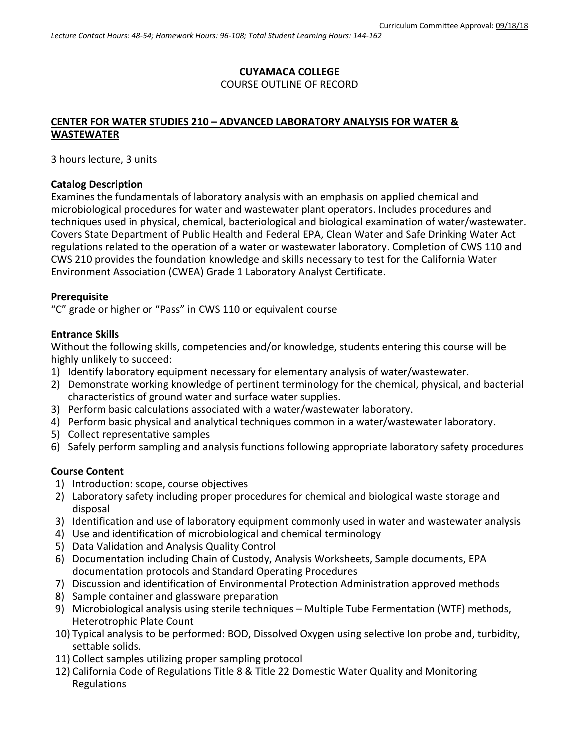## **CUYAMACA COLLEGE** COURSE OUTLINE OF RECORD

## **CENTER FOR WATER STUDIES 210 – ADVANCED LABORATORY ANALYSIS FOR WATER & WASTEWATER**

3 hours lecture, 3 units

### **Catalog Description**

Examines the fundamentals of laboratory analysis with an emphasis on applied chemical and microbiological procedures for water and wastewater plant operators. Includes procedures and techniques used in physical, chemical, bacteriological and biological examination of water/wastewater. Covers State Department of Public Health and Federal EPA, Clean Water and Safe Drinking Water Act regulations related to the operation of a water or wastewater laboratory. Completion of CWS 110 and CWS 210 provides the foundation knowledge and skills necessary to test for the California Water Environment Association (CWEA) Grade 1 Laboratory Analyst Certificate.

### **Prerequisite**

"C" grade or higher or "Pass" in CWS 110 or equivalent course

### **Entrance Skills**

Without the following skills, competencies and/or knowledge, students entering this course will be highly unlikely to succeed:

- 1) Identify laboratory equipment necessary for elementary analysis of water/wastewater.
- 2) Demonstrate working knowledge of pertinent terminology for the chemical, physical, and bacterial characteristics of ground water and surface water supplies.
- 3) Perform basic calculations associated with a water/wastewater laboratory.
- 4) Perform basic physical and analytical techniques common in a water/wastewater laboratory.
- 5) Collect representative samples
- 6) Safely perform sampling and analysis functions following appropriate laboratory safety procedures

#### **Course Content**

- 1) Introduction: scope, course objectives
- 2) Laboratory safety including proper procedures for chemical and biological waste storage and disposal
- 3) Identification and use of laboratory equipment commonly used in water and wastewater analysis
- 4) Use and identification of microbiological and chemical terminology
- 5) Data Validation and Analysis Quality Control
- 6) Documentation including Chain of Custody, Analysis Worksheets, Sample documents, EPA documentation protocols and Standard Operating Procedures
- 7) Discussion and identification of Environmental Protection Administration approved methods
- 8) Sample container and glassware preparation
- 9) Microbiological analysis using sterile techniques Multiple Tube Fermentation (WTF) methods, Heterotrophic Plate Count
- 10) Typical analysis to be performed: BOD, Dissolved Oxygen using selective Ion probe and, turbidity, settable solids.
- 11) Collect samples utilizing proper sampling protocol
- 12) California Code of Regulations Title 8 & Title 22 Domestic Water Quality and Monitoring Regulations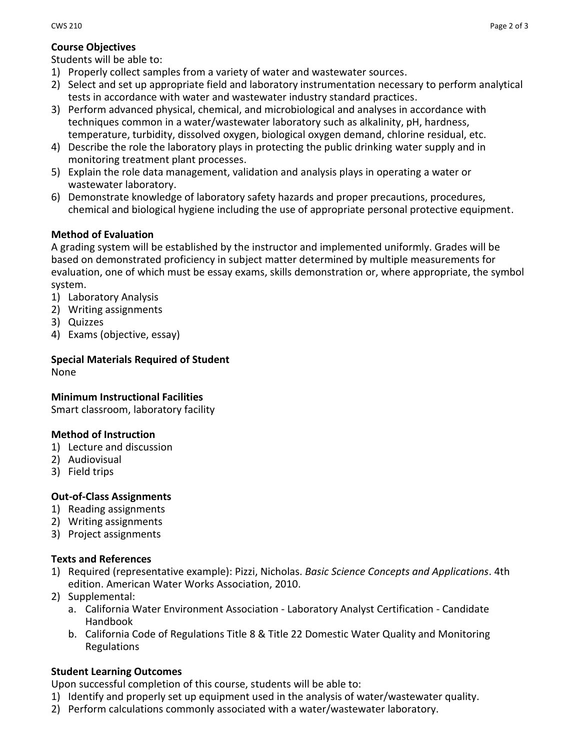# **Course Objectives**

Students will be able to:

- 1) Properly collect samples from a variety of water and wastewater sources.
- 2) Select and set up appropriate field and laboratory instrumentation necessary to perform analytical tests in accordance with water and wastewater industry standard practices.
- 3) Perform advanced physical, chemical, and microbiological and analyses in accordance with techniques common in a water/wastewater laboratory such as alkalinity, pH, hardness, temperature, turbidity, dissolved oxygen, biological oxygen demand, chlorine residual, etc.
- 4) Describe the role the laboratory plays in protecting the public drinking water supply and in monitoring treatment plant processes.
- 5) Explain the role data management, validation and analysis plays in operating a water or wastewater laboratory.
- 6) Demonstrate knowledge of laboratory safety hazards and proper precautions, procedures, chemical and biological hygiene including the use of appropriate personal protective equipment.

# **Method of Evaluation**

A grading system will be established by the instructor and implemented uniformly. Grades will be based on demonstrated proficiency in subject matter determined by multiple measurements for evaluation, one of which must be essay exams, skills demonstration or, where appropriate, the symbol system.

- 1) Laboratory Analysis
- 2) Writing assignments
- 3) Quizzes
- 4) Exams (objective, essay)

# **Special Materials Required of Student**

None

**Minimum Instructional Facilities**

Smart classroom, laboratory facility

# **Method of Instruction**

- 1) Lecture and discussion
- 2) Audiovisual
- 3) Field trips

# **Out-of-Class Assignments**

- 1) Reading assignments
- 2) Writing assignments
- 3) Project assignments

## **Texts and References**

- 1) Required (representative example): Pizzi, Nicholas. *Basic Science Concepts and Applications*. 4th edition. American Water Works Association, 2010.
- 2) Supplemental:
	- a. California Water Environment Association Laboratory Analyst Certification Candidate Handbook
	- b. California Code of Regulations Title 8 & Title 22 Domestic Water Quality and Monitoring Regulations

# **Student Learning Outcomes**

Upon successful completion of this course, students will be able to:

- 1) Identify and properly set up equipment used in the analysis of water/wastewater quality.
- 2) Perform calculations commonly associated with a water/wastewater laboratory.